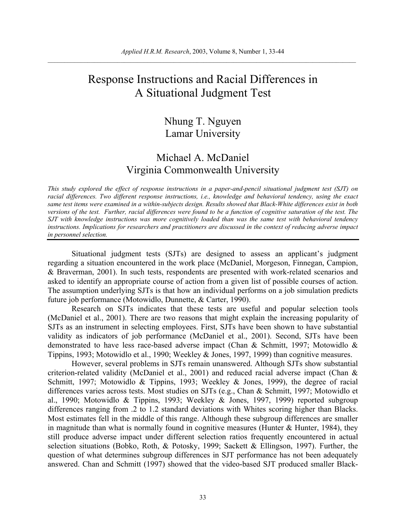# Response Instructions and Racial Differences in A Situational Judgment Test

## Nhung T. Nguyen Lamar University

## Michael A. McDaniel Virginia Commonwealth University

*This study explored the effect of response instructions in a paper-and-pencil situational judgment test (SJT) on racial differences. Two different response instructions, i.e., knowledge and behavioral tendency, using the exact same test items were examined in a within-subjects design. Results showed that Black-White differences exist in both versions of the test. Further, racial differences were found to be a function of cognitive saturation of the test. The SJT with knowledge instructions was more cognitively loaded than was the same test with behavioral tendency instructions. Implications for researchers and practitioners are discussed in the context of reducing adverse impact in personnel selection.* 

Situational judgment tests (SJTs) are designed to assess an applicant's judgment regarding a situation encountered in the work place (McDaniel, Morgeson, Finnegan, Campion, & Braverman, 2001). In such tests, respondents are presented with work-related scenarios and asked to identify an appropriate course of action from a given list of possible courses of action. The assumption underlying SJTs is that how an individual performs on a job simulation predicts future job performance (Motowidlo, Dunnette, & Carter, 1990).

Research on SJTs indicates that these tests are useful and popular selection tools (McDaniel et al., 2001). There are two reasons that might explain the increasing popularity of SJTs as an instrument in selecting employees. First, SJTs have been shown to have substantial validity as indicators of job performance (McDaniel et al., 2001). Second, SJTs have been demonstrated to have less race-based adverse impact (Chan & Schmitt, 1997; Motowidlo & Tippins, 1993; Motowidlo et al., 1990; Weekley & Jones, 1997, 1999) than cognitive measures.

However, several problems in SJTs remain unanswered. Although SJTs show substantial criterion-related validity (McDaniel et al., 2001) and reduced racial adverse impact (Chan & Schmitt, 1997; Motowidlo & Tippins, 1993; Weekley & Jones, 1999), the degree of racial differences varies across tests. Most studies on SJTs (e.g., Chan & Schmitt, 1997; Motowidlo et al., 1990; Motowidlo & Tippins, 1993; Weekley & Jones, 1997, 1999) reported subgroup differences ranging from .2 to 1.2 standard deviations with Whites scoring higher than Blacks. Most estimates fell in the middle of this range. Although these subgroup differences are smaller in magnitude than what is normally found in cognitive measures (Hunter  $\&$  Hunter, 1984), they still produce adverse impact under different selection ratios frequently encountered in actual selection situations (Bobko, Roth, & Potosky, 1999; Sackett & Ellingson, 1997). Further, the question of what determines subgroup differences in SJT performance has not been adequately answered. Chan and Schmitt (1997) showed that the video-based SJT produced smaller Black-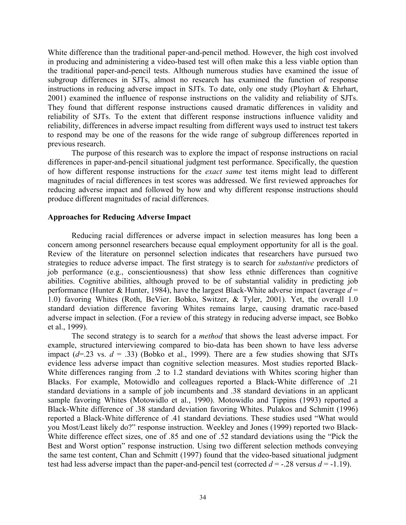White difference than the traditional paper-and-pencil method. However, the high cost involved in producing and administering a video-based test will often make this a less viable option than the traditional paper-and-pencil tests. Although numerous studies have examined the issue of subgroup differences in SJTs, almost no research has examined the function of response instructions in reducing adverse impact in SJTs. To date, only one study (Ployhart & Ehrhart, 2001) examined the influence of response instructions on the validity and reliability of SJTs. They found that different response instructions caused dramatic differences in validity and reliability of SJTs. To the extent that different response instructions influence validity and reliability, differences in adverse impact resulting from different ways used to instruct test takers to respond may be one of the reasons for the wide range of subgroup differences reported in previous research.

The purpose of this research was to explore the impact of response instructions on racial differences in paper-and-pencil situational judgment test performance. Specifically, the question of how different response instructions for the *exact same* test items might lead to different magnitudes of racial differences in test scores was addressed. We first reviewed approaches for reducing adverse impact and followed by how and why different response instructions should produce different magnitudes of racial differences.

### **Approaches for Reducing Adverse Impact**

Reducing racial differences or adverse impact in selection measures has long been a concern among personnel researchers because equal employment opportunity for all is the goal. Review of the literature on personnel selection indicates that researchers have pursued two strategies to reduce adverse impact. The first strategy is to search for *substantive* predictors of job performance (e.g., conscientiousness) that show less ethnic differences than cognitive abilities. Cognitive abilities, although proved to be of substantial validity in predicting job performance (Hunter & Hunter, 1984), have the largest Black-White adverse impact (average *d* = 1.0) favoring Whites (Roth, BeVier. Bobko, Switzer, & Tyler, 2001). Yet, the overall 1.0 standard deviation difference favoring Whites remains large, causing dramatic race-based adverse impact in selection. (For a review of this strategy in reducing adverse impact, see Bobko et al., 1999).

The second strategy is to search for a *method* that shows the least adverse impact. For example, structured interviewing compared to bio-data has been shown to have less adverse impact  $(d=0.23 \text{ vs. } d = .33)$  (Bobko et al., 1999). There are a few studies showing that SJTs evidence less adverse impact than cognitive selection measures. Most studies reported Black-White differences ranging from .2 to 1.2 standard deviations with Whites scoring higher than Blacks. For example, Motowidlo and colleagues reported a Black-White difference of .21 standard deviations in a sample of job incumbents and .38 standard deviations in an applicant sample favoring Whites (Motowidlo et al., 1990). Motowidlo and Tippins (1993) reported a Black-White difference of .38 standard deviation favoring Whites. Pulakos and Schmitt (1996) reported a Black-White difference of .41 standard deviations. These studies used "What would you Most/Least likely do?" response instruction. Weekley and Jones (1999) reported two Black-White difference effect sizes, one of .85 and one of .52 standard deviations using the "Pick the Best and Worst option" response instruction. Using two different selection methods conveying the same test content, Chan and Schmitt (1997) found that the video-based situational judgment test had less adverse impact than the paper-and-pencil test (corrected  $d = -0.28$  versus  $d = -1.19$ ).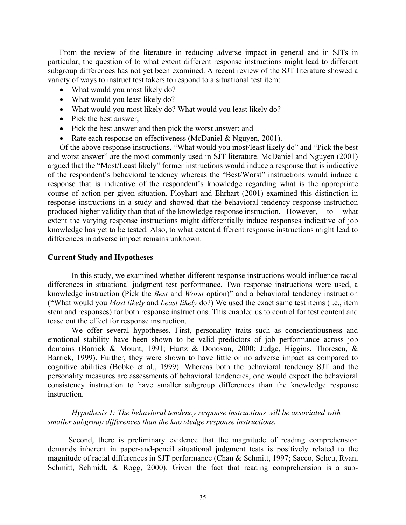From the review of the literature in reducing adverse impact in general and in SJTs in particular, the question of to what extent different response instructions might lead to different subgroup differences has not yet been examined. A recent review of the SJT literature showed a variety of ways to instruct test takers to respond to a situational test item:

- What would you most likely do?
- What would you least likely do?
- What would you most likely do? What would you least likely do?
- Pick the best answer;
- Pick the best answer and then pick the worst answer; and
- Rate each response on effectiveness (McDaniel & Nguyen, 2001).

Of the above response instructions, "What would you most/least likely do" and "Pick the best and worst answer" are the most commonly used in SJT literature. McDaniel and Nguyen (2001) argued that the "Most/Least likely" former instructions would induce a response that is indicative of the respondent's behavioral tendency whereas the "Best/Worst" instructions would induce a response that is indicative of the respondent's knowledge regarding what is the appropriate course of action per given situation. Ployhart and Ehrhart (2001) examined this distinction in response instructions in a study and showed that the behavioral tendency response instruction produced higher validity than that of the knowledge response instruction. However, to what extent the varying response instructions might differentially induce responses indicative of job knowledge has yet to be tested. Also, to what extent different response instructions might lead to differences in adverse impact remains unknown.

## **Current Study and Hypotheses**

In this study, we examined whether different response instructions would influence racial differences in situational judgment test performance. Two response instructions were used, a knowledge instruction (Pick the *Best* and *Worst* option)" and a behavioral tendency instruction ("What would you *Most likely* and *Least likely* do?) We used the exact same test items (i.e., item stem and responses) for both response instructions. This enabled us to control for test content and tease out the effect for response instruction.

We offer several hypotheses. First, personality traits such as conscientiousness and emotional stability have been shown to be valid predictors of job performance across job domains (Barrick & Mount, 1991; Hurtz & Donovan, 2000; Judge, Higgins, Thoresen, & Barrick, 1999). Further, they were shown to have little or no adverse impact as compared to cognitive abilities (Bobko et al., 1999). Whereas both the behavioral tendency SJT and the personality measures are assessments of behavioral tendencies, one would expect the behavioral consistency instruction to have smaller subgroup differences than the knowledge response instruction.

*Hypothesis 1: The behavioral tendency response instructions will be associated with smaller subgroup differences than the knowledge response instructions.* 

Second, there is preliminary evidence that the magnitude of reading comprehension demands inherent in paper-and-pencil situational judgment tests is positively related to the magnitude of racial differences in SJT performance (Chan & Schmitt, 1997; Sacco, Scheu, Ryan, Schmitt, Schmidt, & Rogg, 2000). Given the fact that reading comprehension is a sub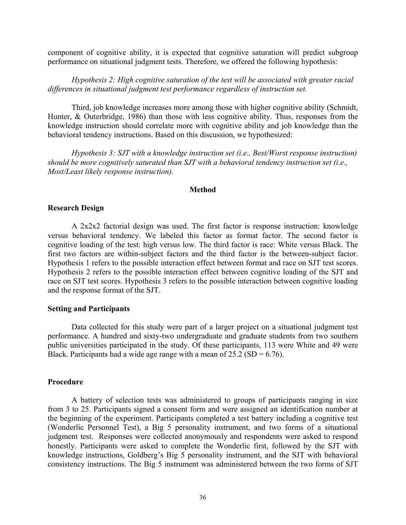component of cognitive ability, it is expected that cognitive saturation will predict subgroup performance on situational judgment tests. Therefore, we offered the following hypothesis:

*Hypothesis 2: High cognitive saturation of the test will be associated with greater racial differences in situational judgment test performance regardless of instruction set.* 

Third, job knowledge increases more among those with higher cognitive ability (Schmidt, Hunter, & Outerbridge, 1986) than those with less cognitive ability. Thus, responses from the knowledge instruction should correlate more with cognitive ability and job knowledge than the behavioral tendency instructions. Based on this discussion, we hypothesized:

*Hypothesis 3: SJT with a knowledge instruction set (i.e., Best/Worst response instruction) should be more cognitively saturated than SJT with a behavioral tendency instruction set (i.e., Most/Least likely response instruction).* 

### **Method**

### **Research Design**

A 2x2x2 factorial design was used. The first factor is response instruction: knowledge versus behavioral tendency. We labeled this factor as format factor. The second factor is cognitive loading of the test: high versus low. The third factor is race: White versus Black. The first two factors are within-subject factors and the third factor is the between-subject factor. Hypothesis 1 refers to the possible interaction effect between format and race on SJT test scores. Hypothesis 2 refers to the possible interaction effect between cognitive loading of the SJT and race on SJT test scores. Hypothesis 3 refers to the possible interaction between cognitive loading and the response format of the SJT.

## **Setting and Participants**

Data collected for this study were part of a larger project on a situational judgment test performance. A hundred and sixty-two undergraduate and graduate students from two southern public universities participated in the study. Of these participants, 113 were White and 49 were Black. Participants had a wide age range with a mean of  $25.2$  (SD = 6.76).

### **Procedure**

A battery of selection tests was administered to groups of participants ranging in size from 3 to 25. Participants signed a consent form and were assigned an identification number at the beginning of the experiment. Participants completed a test battery including a cognitive test (Wonderlic Personnel Test), a Big 5 personality instrument, and two forms of a situational judgment test. Responses were collected anonymously and respondents were asked to respond honestly. Participants were asked to complete the Wonderlic first, followed by the SJT with knowledge instructions, Goldberg's Big 5 personality instrument, and the SJT with behavioral consistency instructions. The Big 5 instrument was administered between the two forms of SJT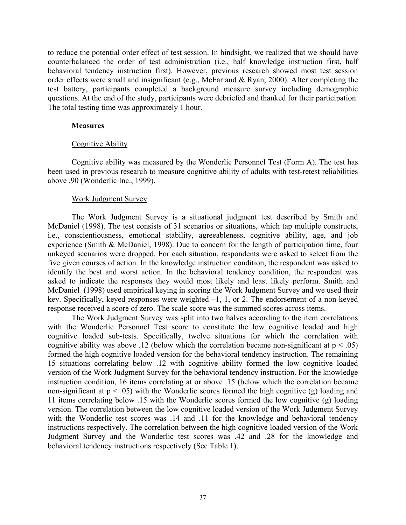to reduce the potential order effect of test session. In hindsight, we realized that we should have counterbalanced the order of test administration (i.e., half knowledge instruction first, half behavioral tendency instruction first). However, previous research showed most test session order effects were small and insignificant (e.g., McFarland & Ryan, 2000). After completing the test battery, participants completed a background measure survey including demographic questions. At the end of the study, participants were debriefed and thanked for their participation. The total testing time was approximately 1 hour.

## **Measures**

## Cognitive Ability

Cognitive ability was measured by the Wonderlic Personnel Test (Form A). The test has been used in previous research to measure cognitive ability of adults with test-retest reliabilities above .90 (Wonderlic Inc., 1999).

## Work Judgment Survey

The Work Judgment Survey is a situational judgment test described by Smith and McDaniel (1998). The test consists of 31 scenarios or situations, which tap multiple constructs, i.e., conscientiousness, emotional stability, agreeableness, cognitive ability, age, and job experience (Smith & McDaniel, 1998). Due to concern for the length of participation time, four unkeyed scenarios were dropped. For each situation, respondents were asked to select from the five given courses of action. In the knowledge instruction condition, the respondent was asked to identify the best and worst action. In the behavioral tendency condition, the respondent was asked to indicate the responses they would most likely and least likely perform. Smith and McDaniel (1998) used empirical keying in scoring the Work Judgment Survey and we used their key. Specifically, keyed responses were weighted  $-1$ , 1, or 2. The endorsement of a non-keyed response received a score of zero. The scale score was the summed scores across items.

The Work Judgment Survey was split into two halves according to the item correlations with the Wonderlic Personnel Test score to constitute the low cognitive loaded and high cognitive loaded sub-tests. Specifically, twelve situations for which the correlation with cognitive ability was above .12 (below which the correlation became non-significant at  $p < .05$ ) formed the high cognitive loaded version for the behavioral tendency instruction. The remaining 15 situations correlating below .12 with cognitive ability formed the low cognitive loaded version of the Work Judgment Survey for the behavioral tendency instruction. For the knowledge instruction condition, 16 items correlating at or above .15 (below which the correlation became non-significant at  $p < .05$ ) with the Wonderlic scores formed the high cognitive (g) loading and 11 items correlating below .15 with the Wonderlic scores formed the low cognitive (g) loading version. The correlation between the low cognitive loaded version of the Work Judgment Survey with the Wonderlic test scores was .14 and .11 for the knowledge and behavioral tendency instructions respectively. The correlation between the high cognitive loaded version of the Work Judgment Survey and the Wonderlic test scores was .42 and .28 for the knowledge and behavioral tendency instructions respectively (See Table 1).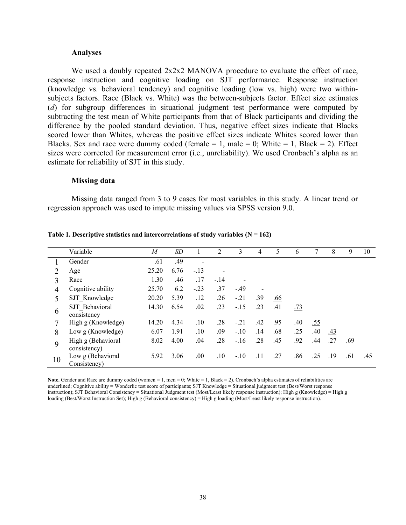#### **Analyses**

We used a doubly repeated  $2x2x2$  MANOVA procedure to evaluate the effect of race, response instruction and cognitive loading on SJT performance. Response instruction (knowledge vs. behavioral tendency) and cognitive loading (low vs. high) were two withinsubjects factors. Race (Black vs. White) was the between-subjects factor. Effect size estimates (*d*) for subgroup differences in situational judgment test performance were computed by subtracting the test mean of White participants from that of Black participants and dividing the difference by the pooled standard deviation. Thus, negative effect sizes indicate that Blacks scored lower than Whites, whereas the positive effect sizes indicate Whites scored lower than Blacks. Sex and race were dummy coded (female  $= 1$ , male  $= 0$ ; White  $= 1$ , Black  $= 2$ ). Effect sizes were corrected for measurement error (i.e., unreliability). We used Cronbach's alpha as an estimate for reliability of SJT in this study.

### **Missing data**

Missing data ranged from 3 to 9 cases for most variables in this study. A linear trend or regression approach was used to impute missing values via SPSS version 9.0.

|                | Variable                           | $\cal M$ | SD   |                              | $\overline{2}$           | 3      | 4   | 5   | 6          | 7          | 8          | 9          | 10         |
|----------------|------------------------------------|----------|------|------------------------------|--------------------------|--------|-----|-----|------------|------------|------------|------------|------------|
|                | Gender                             | .61      | .49  | $\qquad \qquad \blacksquare$ |                          |        |     |     |            |            |            |            |            |
| $\overline{2}$ | Age                                | 25.20    | 6.76 | $-.13$                       | $\overline{\phantom{a}}$ |        |     |     |            |            |            |            |            |
| 3              | Race                               | 1.30     | .46  | .17                          | $-14$                    |        |     |     |            |            |            |            |            |
| 4              | Cognitive ability                  | 25.70    | 6.2  | $-.23$                       | .37                      | $-49$  |     |     |            |            |            |            |            |
| 5              | SJT Knowledge                      | 20.20    | 5.39 | .12                          | .26                      | $-.21$ | .39 | .66 |            |            |            |            |            |
| 6              | SJT Behavioral<br>consistency      | 14.30    | 6.54 | .02                          | .23                      | $-15$  | .23 | .41 | <u>.73</u> |            |            |            |            |
| 7              | High g (Knowledge)                 | 14.20    | 4.34 | .10                          | .28                      | $-.21$ | .42 | .95 | .40        | <u>.55</u> |            |            |            |
| 8              | Low g (Knowledge)                  | 6.07     | 1.91 | .10                          | .09                      | $-.10$ | .14 | .68 | .25        | .40        | <u>.43</u> |            |            |
| 9              | High g (Behavioral<br>consistency) | 8.02     | 4.00 | .04                          | .28                      | $-.16$ | .28 | .45 | .92        | .44        | .27        | <u>.69</u> |            |
| 10             | Low g (Behavioral<br>Consistency)  | 5.92     | 3.06 | .00.                         | .10                      | $-.10$ | .11 | .27 | .86        | .25        | .19        | .61        | <u>.45</u> |

Table 1. Descriptive statistics and intercorrelations of study variables  $(N = 162)$ 

**Note.** Gender and Race are dummy coded (women  $= 1$ , men  $= 0$ ; White  $= 1$ , Black  $= 2$ ). Cronbach's alpha estimates of reliabilities are underlined; Cognitive ability = Wonderlic test score of participants; SJT Knowledge = Situational judgment test (Best/Worst response instruction); SJT Behavioral Consistency = Situational Judgment test (Most/Least likely response instruction); High g (Knowledge) = High g loading (Best/Worst Instruction Set); High g (Behavioral consistency) = High g loading (Most/Least likely response instruction).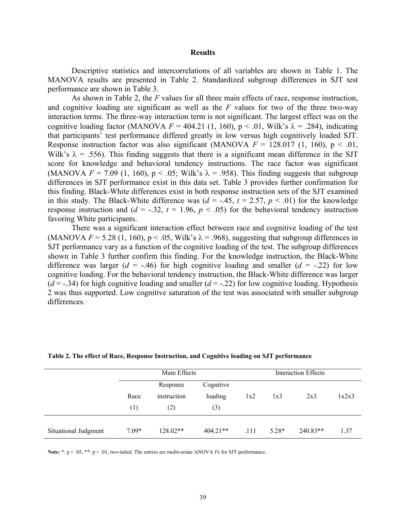#### **Results**

Descriptive statistics and intercorrelations of all variables are shown in Table 1. The MANOVA results are presented in Table 2. Standardized subgroup differences in SJT test performance are shown in Table 3.

As shown in Table 2, the *F* values for all three main effects of race, response instruction, and cognitive loading are significant as well as the *F* values for two of the three two-way interaction terms. The three-way interaction term is not significant. The largest effect was on the cognitive loading factor (MANOVA  $F = 404.21$  (1, 160),  $p < .01$ , Wilk's  $\lambda = .284$ ), indicating that participants' test performance differed greatly in low versus high cognitively loaded SJT. Response instruction factor was also significant (MANOVA  $F = 128.017$  (1, 160),  $p < .01$ , Wilk's  $\lambda$  = .556). This finding suggests that there is a significant mean difference in the SJT score for knowledge and behavioral tendency instructions. The race factor was significant (MANOVA  $F = 7.09$  (1, 160),  $p < .05$ ; Wilk's  $\lambda = .958$ ). This finding suggests that subgroup differences in SJT performance exist in this data set. Table 3 provides further confirmation for this finding. Black-White differences exist in both response instruction sets of the SJT examined in this study. The Black-White difference was  $(d = -.45, t = 2.57, p < .01)$  for the knowledge response instruction and ( $d = -0.32$ ,  $t = 1.96$ ,  $p < 0.05$ ) for the behavioral tendency instruction favoring White participants.

There was a significant interaction effect between race and cognitive loading of the test (MANOVA  $F = 5.28$  (1, 160),  $p < .05$ , Wilk's  $\lambda = .968$ ), suggesting that subgroup differences in SJT performance vary as a function of the cognitive loading of the test. The subgroup differences shown in Table 3 further confirm this finding. For the knowledge instruction, the Black-White difference was larger  $(d = -0.46)$  for high cognitive loading and smaller  $(d = -0.22)$  for low cognitive loading. For the behavioral tendency instruction, the Black-White difference was larger  $(d = -0.34)$  for high cognitive loading and smaller  $(d = -0.22)$  for low cognitive loading. Hypothesis 2 was thus supported. Low cognitive saturation of the test was associated with smaller subgroup differences.

|                      |             | Main Effects                   | Interaction Effects         |            |         |            |       |
|----------------------|-------------|--------------------------------|-----------------------------|------------|---------|------------|-------|
|                      | Race<br>(1) | Response<br>instruction<br>(2) | Cognitive<br>loading<br>(3) | 1x2<br>1x3 |         | 2x3        | 1x2x3 |
| Situational Judgment | $7.09*$     | 128.02**                       | $404.21**$                  | .111       | $5.28*$ | $240.83**$ | 1.37  |

**Table 2. The effect of Race, Response Instruction, and Cognitive loading on SJT performance** 

Note: \*:  $p < .05$ , \*\*:  $p < .01$ , two-tailed. The entries are multivariate ANOVA *Fs* for SJT performance.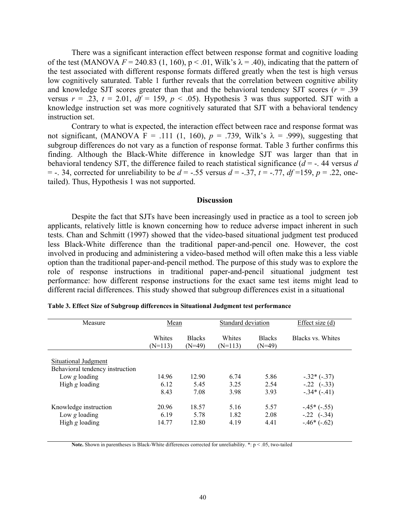There was a significant interaction effect between response format and cognitive loading of the test (MANOVA  $F = 240.83$  (1, 160),  $p < .01$ , Wilk's  $\lambda = .40$ ), indicating that the pattern of the test associated with different response formats differed greatly when the test is high versus low cognitively saturated. Table 1 further reveals that the correlation between cognitive ability and knowledge SJT scores greater than that and the behavioral tendency SJT scores  $(r = .39)$ versus  $r = .23$ ,  $t = 2.01$ ,  $df = 159$ ,  $p < .05$ ). Hypothesis 3 was thus supported. SJT with a knowledge instruction set was more cognitively saturated that SJT with a behavioral tendency instruction set.

Contrary to what is expected, the interaction effect between race and response format was not significant, (MANOVA F = .111 (1, 160),  $p = .739$ , Wilk's  $\lambda = .999$ ), suggesting that subgroup differences do not vary as a function of response format. Table 3 further confirms this finding. Although the Black-White difference in knowledge SJT was larger than that in behavioral tendency SJT, the difference failed to reach statistical significance  $(d = -1.44 \text{ versus } d$  $=$  -. 34, corrected for unreliability to be  $d = -0.55$  versus  $d = -0.37$ ,  $t = -0.77$ ,  $df = 159$ ,  $p = 0.22$ , onetailed). Thus, Hypothesis 1 was not supported.

### **Discussion**

Despite the fact that SJTs have been increasingly used in practice as a tool to screen job applicants, relatively little is known concerning how to reduce adverse impact inherent in such tests. Chan and Schmitt (1997) showed that the video-based situational judgment test produced less Black-White difference than the traditional paper-and-pencil one. However, the cost involved in producing and administering a video-based method will often make this a less viable option than the traditional paper-and-pencil method. The purpose of this study was to explore the role of response instructions in traditional paper-and-pencil situational judgment test performance: how different response instructions for the exact same test items might lead to different racial differences. This study showed that subgroup differences exist in a situational

| Measure                                                                    | Mean                   |                           | Standard deviation   |                           | Effect size $(d)$                                 |  |
|----------------------------------------------------------------------------|------------------------|---------------------------|----------------------|---------------------------|---------------------------------------------------|--|
|                                                                            | Whites<br>$(N=113)$    | <b>Blacks</b><br>$(N=49)$ | Whites<br>$(N=113)$  | <b>Blacks</b><br>$(N=49)$ | Blacks vs Whites                                  |  |
| Situational Judgment<br>Behavioral tendency instruction<br>Low $g$ loading | 14.96                  | 12.90                     | 6.74                 | 5.86                      | $-.32*(-.37)$                                     |  |
| High $g$ loading                                                           | 6.12<br>8.43           | 5.45<br>7.08              | 3 2 5<br>3.98        | 2.54<br>3.93              | $-.22$ $(-.33)$<br>$-.34*(-.41)$                  |  |
| Knowledge instruction<br>Low $g$ loading<br>High $g$ loading               | 20.96<br>6.19<br>14.77 | 18.57<br>5.78<br>12.80    | 5.16<br>1.82<br>4.19 | 5.57<br>2.08<br>4.41      | $-.45*(-.55)$<br>$-.22$ $(-.34)$<br>$-.46*(-.62)$ |  |

|  |  | Table 3. Effect Size of Subgroup differences in Situational Judgment test performance |  |
|--|--|---------------------------------------------------------------------------------------|--|
|  |  |                                                                                       |  |

Note. Shown in parentheses is Black-White differences corrected for unreliability. \*: p < .05, two-tailed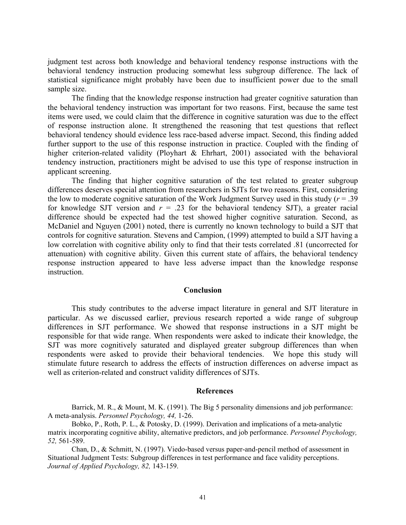judgment test across both knowledge and behavioral tendency response instructions with the behavioral tendency instruction producing somewhat less subgroup difference. The lack of statistical significance might probably have been due to insufficient power due to the small sample size.

The finding that the knowledge response instruction had greater cognitive saturation than the behavioral tendency instruction was important for two reasons. First, because the same test items were used, we could claim that the difference in cognitive saturation was due to the effect of response instruction alone. It strengthened the reasoning that test questions that reflect behavioral tendency should evidence less race-based adverse impact. Second, this finding added further support to the use of this response instruction in practice. Coupled with the finding of higher criterion-related validity (Ployhart & Ehrhart, 2001) associated with the behavioral tendency instruction, practitioners might be advised to use this type of response instruction in applicant screening.

The finding that higher cognitive saturation of the test related to greater subgroup differences deserves special attention from researchers in SJTs for two reasons. First, considering the low to moderate cognitive saturation of the Work Judgment Survey used in this study  $(r = .39)$ for knowledge SJT version and  $r = .23$  for the behavioral tendency SJT), a greater racial difference should be expected had the test showed higher cognitive saturation. Second, as McDaniel and Nguyen (2001) noted, there is currently no known technology to build a SJT that controls for cognitive saturation. Stevens and Campion, (1999) attempted to build a SJT having a low correlation with cognitive ability only to find that their tests correlated .81 (uncorrected for attenuation) with cognitive ability. Given this current state of affairs, the behavioral tendency response instruction appeared to have less adverse impact than the knowledge response instruction.

## **Conclusion**

This study contributes to the adverse impact literature in general and SJT literature in particular. As we discussed earlier, previous research reported a wide range of subgroup differences in SJT performance. We showed that response instructions in a SJT might be responsible for that wide range. When respondents were asked to indicate their knowledge, the SJT was more cognitively saturated and displayed greater subgroup differences than when respondents were asked to provide their behavioral tendencies. We hope this study will stimulate future research to address the effects of instruction differences on adverse impact as well as criterion-related and construct validity differences of SJTs.

### **References**

Barrick, M. R., & Mount, M. K. (1991). The Big 5 personality dimensions and job performance: A meta-analysis. *Personnel Psychology, 44,* 1-26.

Bobko, P., Roth, P. L., & Potosky, D. (1999). Derivation and implications of a meta-analytic matrix incorporating cognitive ability, alternative predictors, and job performance. *Personnel Psychology, 52,* 561-589.

Chan, D., & Schmitt, N. (1997). Viedo-based versus paper-and-pencil method of assessment in Situational Judgment Tests: Subgroup differences in test performance and face validity perceptions. *Journal of Applied Psychology, 82,* 143-159.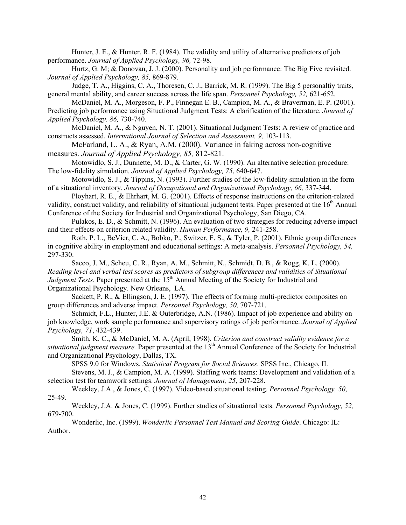Hunter, J. E., & Hunter, R. F. (1984). The validity and utility of alternative predictors of job performance. *Journal of Applied Psychology, 96,* 72-98.

Hurtz, G. M; & Donovan, J. J. (2000). Personality and job performance: The Big Five revisited. *Journal of Applied Psychology, 85,* 869-879.

Judge, T. A., Higgins, C. A., Thoresen, C. J., Barrick, M. R. (1999). The Big 5 personaltiy traits, general mental ability, and career success across the life span. *Personnel Psychology, 52,* 621-652.

McDaniel, M. A., Morgeson, F. P., Finnegan E. B., Campion, M. A., & Braverman, E. P. (2001). Predicting job performance using Situational Judgment Tests: A clarification of the literature. *Journal of Applied Psychology. 86,* 730-740.

McDaniel, M. A., & Nguyen, N. T. (2001). Situational Judgment Tests: A review of practice and constructs assessed. *International Journal of Selection and Assessment, 9,* 103-113.

McFarland, L. A., & Ryan, A.M. (2000). Variance in faking across non-cognitive measures. *Journal of Applied Psychology, 85,* 812-821.

Motowidlo, S. J., Dunnette, M. D., & Carter, G. W. (1990). An alternative selection procedure: The low-fidelity simulation. *Journal of Applied Psychology, 75*, 640-647.

Motowidlo, S. J., & Tippins, N. (1993). Further studies of the low-fidelity simulation in the form of a situational inventory. *Journal of Occupational and Organizational Psychology, 66,* 337-344.

Ployhart, R. E., & Ehrhart, M. G. (2001). Effects of response instructions on the criterion-related validity, construct validity, and reliability of situational judgment tests. Paper presented at the 16<sup>th</sup> Annual Conference of the Society for Industrial and Organizational Psychology, San Diego, CA.

Pulakos, E. D., & Schmitt, N. (1996). An evaluation of two strategies for reducing adverse impact and their effects on criterion related validity. *Human Performance, 9,* 241-258.

Roth, P. L., BeVier, C. A., Bobko, P., Switzer, F. S., & Tyler, P. (2001). Ethnic group differences in cognitive ability in employment and educational settings: A meta-analysis. *Personnel Psychology, 54,*  297-330.

Sacco, J. M., Scheu, C. R., Ryan, A. M., Schmitt, N., Schmidt, D. B., & Rogg, K. L. (2000). *Reading level and verbal test scores as predictors of subgroup differences and validities of Situational Judgment Tests*. Paper presented at the 15<sup>th</sup> Annual Meeting of the Society for Industrial and Organizational Psychology. New Orleans, LA.

Sackett, P. R., & Ellingson, J. E. (1997). The effects of forming multi-predictor composites on group differences and adverse impact. *Personnel Psychology, 50,* 707-721.

Schmidt, F.L., Hunter, J.E. & Outerbridge, A.N. (1986). Impact of job experience and ability on job knowledge, work sample performance and supervisory ratings of job performance. *Journal of Applied Psychology, 71*, 432-439.

Smith, K. C., & McDaniel, M. A. (April, 1998). *Criterion and construct validity evidence for a situational judgment measure.* Paper presented at the 13<sup>th</sup> Annual Conference of the Society for Industrial and Organizational Psychology, Dallas, TX.

SPSS 9.0 for Windows. *Statistical Program for Social Sciences*. SPSS Inc., Chicago, IL

Stevens, M. J., & Campion, M. A. (1999). Staffing work teams: Development and validation of a selection test for teamwork settings. *Journal of Management, 25*, 207-228.

Weekley, J.A., & Jones, C. (1997). Video-based situational testing. *Personnel Psychology, 50*, 25-49.

Weekley, J.A. & Jones, C. (1999). Further studies of situational tests. *Personnel Psychology, 52,* 679-700.

Wonderlic, Inc. (1999). *Wonderlic Personnel Test Manual and Scoring Guide*. Chicago: IL: Author.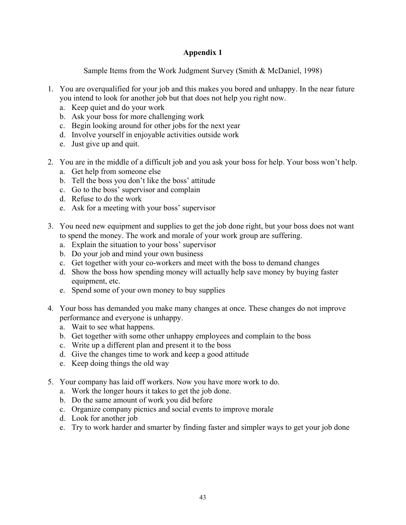## **Appendix 1**

Sample Items from the Work Judgment Survey (Smith & McDaniel, 1998)

- 1. You are overqualified for your job and this makes you bored and unhappy. In the near future you intend to look for another job but that does not help you right now.
	- a. Keep quiet and do your work
	- b. Ask your boss for more challenging work
	- c. Begin looking around for other jobs for the next year
	- d. Involve yourself in enjoyable activities outside work
	- e. Just give up and quit.
- 2. You are in the middle of a difficult job and you ask your boss for help. Your boss won't help. a. Get help from someone else
	- b. Tell the boss you don't like the boss' attitude
	- c. Go to the boss' supervisor and complain
	- d. Refuse to do the work
	- e. Ask for a meeting with your boss' supervisor
- 3. You need new equipment and supplies to get the job done right, but your boss does not want to spend the money. The work and morale of your work group are suffering.
	- a. Explain the situation to your boss' supervisor
	- b. Do your job and mind your own business
	- c. Get together with your co-workers and meet with the boss to demand changes
	- d. Show the boss how spending money will actually help save money by buying faster equipment, etc.
	- e. Spend some of your own money to buy supplies
- 4. Your boss has demanded you make many changes at once. These changes do not improve performance and everyone is unhappy.
	- a. Wait to see what happens.
	- b. Get together with some other unhappy employees and complain to the boss
	- c. Write up a different plan and present it to the boss
	- d. Give the changes time to work and keep a good attitude
	- e. Keep doing things the old way
- 5. Your company has laid off workers. Now you have more work to do.
	- a. Work the longer hours it takes to get the job done.
	- b. Do the same amount of work you did before
	- c. Organize company picnics and social events to improve morale
	- d. Look for another job
	- e. Try to work harder and smarter by finding faster and simpler ways to get your job done